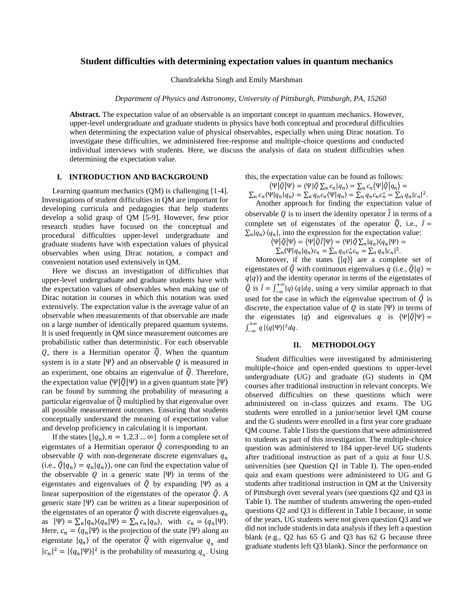# **Student difficulties with determining expectation values in quantum mechanics**

Chandralekha Singh and Emily Marshman

*Department of Physics and Astronomy, University of Pittsburgh, Pittsburgh, PA, 15260*

**Abstract.** The expectation value of an observable is an important concept in quantum mechanics. However, upper-level undergraduate and graduate students in physics have both conceptual and procedural difficulties when determining the expectation value of physical observables, especially when using Dirac notation. To investigate these difficulties, we administered free-response and multiple-choice questions and conducted individual interviews with students. Here, we discuss the analysis of data on student difficulties when determining the expectation value.

# **I. INTRODUCTION AND BACKGROUND**

Learning quantum mechanics (QM) is challenging [1-4]. Investigations of student difficulties in QM are important for developing curricula and pedagogies that help students develop a solid grasp of QM [5-9]. However, few prior research studies have focused on the conceptual and procedural difficulties upper-level undergraduate and graduate students have with expectation values of physical observables when using Dirac notation, a compact and convenient notation used extensively in QM.

Here we discuss an investigation of difficulties that upper-level undergraduate and graduate students have with the expectation values of observables when making use of Dirac notation in courses in which this notation was used extensively. The expectation value is the average value of an observable when measurements of that observable are made on a large number of identically prepared quantum systems. It is used frequently in QM since measurement outcomes are probabilistic rather than deterministic. For each observable Q, there is a Hermitian operator  $\hat{Q}$ . When the quantum system is in a state  $|\Psi\rangle$  and an observable Q is measured in an experiment, one obtains an eigenvalue of  $\hat{Q}$ . Therefore, the expectation value  $\langle \Psi | \hat{Q} | \Psi \rangle$  in a given quantum state  $| \Psi \rangle$ can be found by summing the probability of measuring a particular eigenvalue of  $\widehat{Q}$  multiplied by that eigenvalue over all possible measurement outcomes. Ensuring that students conceptually understand the meaning of expectation value and develop proficiency in calculating it is important.

If the states  $\{|q_n\rangle, n = 1, 2, 3 ... \infty\}$  form a complete set of eigenstates of a Hermitian operator  $\hat{Q}$  corresponding to an observable Q with non-degenerate discrete eigenvalues  $q_n$ (i.e.,  $\hat{Q}|q_n\rangle = q_n|q_n\rangle$ ), one can find the expectation value of the observable Q in a generic state  $|\Psi\rangle$  in terms of the eigenstates and eigenvalues of  $\hat{Q}$  by expanding  $|\Psi\rangle$  as a linear superposition of the eigenstates of the operator  $\hat{Q}$ . A generic state |Ψ〉 can be written as a linear superposition of the eigenstates of an operator  $\hat{Q}$  with discrete eigenvalues  $q_n$ as  $|\Psi\rangle = \sum_n |q_n\rangle\langle q_n|\Psi\rangle = \sum_n c_n |q_n\rangle$ , with  $c_n = \langle q_n|\Psi\rangle$ . Here,  $c_n = \langle q_n | \Psi \rangle$  is the projection of the state  $|\Psi \rangle$  along an eigenstate  $|q_n\rangle$  of the operator  $\widehat{Q}$  with eigenvalue  $q_n$  and  $|c_n|^2 = |\langle q_n | \Psi \rangle|^2$  is the probability of measuring  $q_n$ . Using this, the expectation value can be found as follows:

 $\langle \Psi | \hat{Q} | \Psi \rangle = \langle \Psi | \hat{Q} \sum_n c_n | q_n \rangle = \sum_n c_n \langle \Psi | \hat{Q} | q_n \rangle =$ 

 $\sum_{n} c_n \langle \Psi | q_n | q_n \rangle = \sum_{n} q_n c_n \langle \Psi | q_n \rangle = \sum_{n} q_n c_n c_n^* = \sum_{n} q_n |c_n|^2.$ Another approach for finding the expectation value of

observable Q is to insert the identity operator  $\hat{l}$  in terms of a complete set of eigenstates of the operator  $\hat{Q}$ , i.e.,  $\hat{I} =$  $\sum_{n} |q_n\rangle \langle q_n|$ , into the expression for the expectation value:

 $\langle \Psi | \hat{Q} | \Psi \rangle = \langle \Psi | \hat{Q} \hat{I} | \Psi \rangle = \langle \Psi | \hat{Q} \sum_n |q_n \rangle \langle q_n | \Psi \rangle =$  $\sum_n \langle \Psi | q_n | q_n \rangle c_n = \sum_n q_n c_n^* c_n = \sum_n q_n |c_n|^2.$ 

Moreover, if the states  $\{|q\rangle\}$  are a complete set of eigenstates of  $\hat{Q}$  with continuous eigenvalues  $q$  (i.e.,  $\hat{Q}|q\rangle =$  $q|q\rangle$ ) and the identity operator in terms of the eigenstates of  $\hat{Q}$  is  $\hat{I} = \int_{-\infty}^{+\infty} |q\rangle$  $\int_{-\infty}^{+\infty} |q\rangle \langle q|dq$ , using a very similar approach to that used for the case in which the eigenvalue spectrum of  $\hat{Q}$  is discrete, the expectation value of  $Q$  in state  $|\Psi\rangle$  in terms of the eigenstates  $|q\rangle$  and eigenvalues q is  $\langle \Psi | \hat{Q} | \Psi \rangle =$  $\int_{-\infty}^{+\infty} q$  $\int_{-\infty}^{+\infty} q |\langle q|\Psi\rangle|^2 dq.$ 

## **II. METHODOLOGY**

Student difficulties were investigated by administering multiple-choice and open-ended questions to upper-level undergraduate (UG) and graduate (G) students in QM courses after traditional instruction in relevant concepts. We observed difficulties on these questions which were administered on in-class quizzes and exams. The UG students were enrolled in a junior/senior level QM course and the G students were enrolled in a first year core graduate QM course. Table I lists the questions that were administered to students as part of this investigation. The multiple-choice question was administered to 184 upper-level UG students after traditional instruction as part of a quiz at four U.S. universities (see Question Q1 in Table I). The open-ended quiz and exam questions were administered to UG and G students after traditional instruction in QM at the University of Pittsburgh over several years (see questions Q2 and Q3 in Table I). The number of students answering the open-ended questions Q2 and Q3 is different in Table I because, in some of the years, UG students were not given question Q3 and we did not include students in data analysis if they left a question blank (e.g., Q2 has 65 G and Q3 has 62 G because three graduate students left Q3 blank). Since the performance on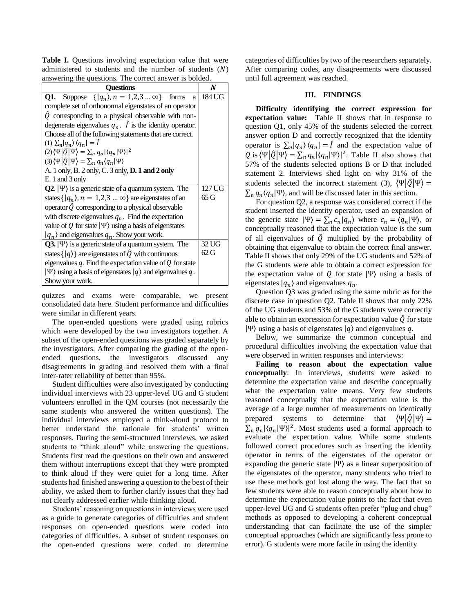**Table I.** Questions involving expectation value that were administered to students and the number of students  $(N)$ answering the questions. The correct answer is bolded.

| <b>Ouestions</b>                                                                    | N      |
|-------------------------------------------------------------------------------------|--------|
| <b>Q1.</b> Suppose $\{ q_n\rangle, n = 1, 2, 3  \infty\}$ forms<br>a                | 184 UG |
| complete set of orthonormal eigenstates of an operator                              |        |
| $\hat{Q}$ corresponding to a physical observable with non-                          |        |
| degenerate eigenvalues $q_n$ . $\hat{I}$ is the identity operator.                  |        |
| Choose all of the following statements that are correct.                            |        |
| (1) $\sum_{n}  q_{n}\rangle \langle q_{n}  = \hat{I}$                               |        |
| $(2)\langle\Psi \hat{Q} \Psi\rangle = \sum_n q_n  \langle q_n \Psi\rangle ^2$       |        |
| (3) $\langle \Psi   \hat{Q}   \Psi \rangle = \sum_n q_n \langle q_n   \Psi \rangle$ |        |
| A. 1 only, B. 2 only, C. 3 only, D. 1 and 2 only                                    |        |
| $E. 1$ and $3$ only                                                                 |        |
| $Q2.  \Psi\rangle$ is a generic state of a quantum system. The                      | 127 UG |
| states $\{ q_n\rangle, n = 1, 2, 3  \infty\}$ are eigenstates of an                 | 65 G   |
| operator $\hat{Q}$ corresponding to a physical observable                           |        |
| with discrete eigenvalues $q_n$ . Find the expectation                              |        |
| value of Q for state $ \Psi\rangle$ using a basis of eigenstates                    |        |
| $ q_n\rangle$ and eigenvalues $q_n$ . Show your work.                               |        |
| $Q3.  \Psi\rangle$ is a generic state of a quantum system. The                      | 32 UG  |
| states $\{ q\rangle\}$ are eigenstates of $\hat{Q}$ with continuous                 | 62G    |
| eigenvalues $q$ . Find the expectation value of $Q$ for state                       |        |
| $ \Psi\rangle$ using a basis of eigenstates $ q\rangle$ and eigenvalues q.          |        |
| Show your work.                                                                     |        |

quizzes and exams were comparable, we present consolidated data here. Student performance and difficulties were similar in different years.

The open-ended questions were graded using rubrics which were developed by the two investigators together. A subset of the open-ended questions was graded separately by the investigators. After comparing the grading of the openended questions, the investigators discussed any disagreements in grading and resolved them with a final inter-rater reliability of better than 95%.

Student difficulties were also investigated by conducting individual interviews with 23 upper-level UG and G student volunteers enrolled in the QM courses (not necessarily the same students who answered the written questions). The individual interviews employed a think-aloud protocol to better understand the rationale for students' written responses. During the semi-structured interviews, we asked students to "think aloud" while answering the questions. Students first read the questions on their own and answered them without interruptions except that they were prompted to think aloud if they were quiet for a long time. After students had finished answering a question to the best of their ability, we asked them to further clarify issues that they had not clearly addressed earlier while thinking aloud.

Students' reasoning on questions in interviews were used as a guide to generate categories of difficulties and student responses on open-ended questions were coded into categories of difficulties. A subset of student responses on the open-ended questions were coded to determine categories of difficulties by two of the researchers separately. After comparing codes, any disagreements were discussed until full agreement was reached.

## **III. FINDINGS**

**Difficulty identifying the correct expression for expectation value:** Table II shows that in response to question Q1, only 45% of the students selected the correct answer option D and correctly recognized that the identity operator is  $\sum_{n} |q_n\rangle \langle q_n| = \hat{I}$  and the expectation value of Q is  $\langle \Psi | \hat{Q} | \Psi \rangle = \sum_{n} q_n |\langle q_n | \Psi \rangle|^2$ . Table II also shows that 57% of the students selected options B or D that included statement 2. Interviews shed light on why 31% of the students selected the incorrect statement (3),  $\langle \Psi | \hat{Q} | \Psi \rangle =$  $\sum_{n} q_n \langle q_n | \Psi \rangle$ , and will be discussed later in this section.

For question Q2, a response was considered correct if the student inserted the identity operator, used an expansion of the generic state  $|\Psi\rangle = \sum_n c_n |q_n\rangle$  where  $c_n = \langle q_n | \Psi \rangle$ , or conceptually reasoned that the expectation value is the sum of all eigenvalues of  $\hat{Q}$  multiplied by the probability of obtaining that eigenvalue to obtain the correct final answer. Table II shows that only 29% of the UG students and 52% of the G students were able to obtain a correct expression for the expectation value of  $Q$  for state  $|\Psi\rangle$  using a basis of eigenstates  $|q_n\rangle$  and eigenvalues  $q_n$ .

Question Q3 was graded using the same rubric as for the discrete case in question Q2. Table II shows that only 22% of the UG students and 53% of the G students were correctly able to obtain an expression for expectation value  $\hat{Q}$  for state  $|\Psi\rangle$  using a basis of eigenstates  $|q\rangle$  and eigenvalues q.

Below, we summarize the common conceptual and procedural difficulties involving the expectation value that were observed in written responses and interviews:

**Failing to reason about the expectation value conceptually**: In interviews, students were asked to determine the expectation value and describe conceptually what the expectation value means. Very few students reasoned conceptually that the expectation value is the average of a large number of measurements on identically prepared systems to determine that  $\langle \Psi | \hat{Q} | \Psi \rangle =$  $\sum_{n} q_n |\langle q_n | \Psi \rangle|^2$ . Most students used a formal approach to evaluate the expectation value. While some students followed correct procedures such as inserting the identity operator in terms of the eigenstates of the operator or expanding the generic state  $|\Psi\rangle$  as a linear superposition of the eigenstates of the operator, many students who tried to use these methods got lost along the way. The fact that so few students were able to reason conceptually about how to determine the expectation value points to the fact that even upper-level UG and G students often prefer "plug and chug" methods as opposed to developing a coherent conceptual understanding that can facilitate the use of the simpler conceptual approaches (which are significantly less prone to error). G students were more facile in using the identity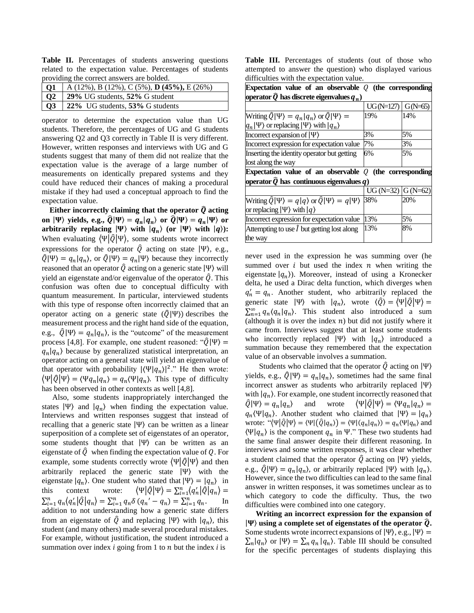**Table II.** Percentages of students answering questions related to the expectation value. Percentages of students providing the correct answers are bolded.

| <b>Q1</b>   A (12%), B (12%), C (5%), <b>D (45%),</b> E (26%) |
|---------------------------------------------------------------|
| Q2 29% UG students, 52% G student                             |
| Q3 22% UG students, 53% G students                            |

operator to determine the expectation value than UG students. Therefore, the percentages of UG and G students answering Q2 and Q3 correctly in Table II is very different. However, written responses and interviews with UG and G students suggest that many of them did not realize that the expectation value is the average of a large number of measurements on identically prepared systems and they could have reduced their chances of making a procedural mistake if they had used a conceptual approach to find the expectation value.

Either incorrectly claiming that the operator  $\hat{Q}$  acting on  $|\Psi\rangle$  yields, e.g.,  $\widehat{Q}|\Psi\rangle = q_n|q_n\rangle$  or  $\widehat{Q}|\Psi\rangle = q_n|\Psi\rangle$  or **arbitrarily replacing**  $|\Psi\rangle$  **with**  $|q_n\rangle$  **(or**  $|\Psi\rangle$  **with**  $|q\rangle$ **):** When evaluating  $\langle \Psi | \hat{Q} | \Psi \rangle$ , some students wrote incorrect expressions for the operator  $\hat{O}$  acting on state  $|\Psi\rangle$ , e.g.,  $\hat{Q}|\Psi\rangle = q_n|q_n\rangle$ , or  $\hat{Q}|\Psi\rangle = q_n|\Psi\rangle$  because they incorrectly reasoned that an operator  $\hat{Q}$  acting on a generic state  $|\Psi\rangle$  will yield an eigenstate and/or eigenvalue of the operator  $\hat{Q}$ . This confusion was often due to conceptual difficulty with quantum measurement. In particular, interviewed students with this type of response often incorrectly claimed that an operator acting on a generic state  $(\hat{Q}|\Psi\rangle)$  describes the measurement process and the right hand side of the equation, e.g.,  $\hat{Q}|\Psi\rangle = q_n|q_n\rangle$ , is the "outcome" of the measurement process [4,8]. For example, one student reasoned: " $\hat{Q}|\Psi\rangle =$  $q_n | q_n$ ) because by generalized statistical interpretation, an operator acting on a general state will yield an eigenvalue of that operator with probability  $|\langle \Psi | q_n \rangle|^2$ ." He then wrote:  $\langle \Psi | \hat{Q} | \Psi \rangle = \langle \Psi q_n | q_n \rangle = q_n \langle \Psi | q_n \rangle$ . This type of difficulty has been observed in other contexts as well [4,8].

Also, some students inappropriately interchanged the states  $|\Psi\rangle$  and  $|q_n\rangle$  when finding the expectation value. Interviews and written responses suggest that instead of recalling that a generic state  $|\Psi\rangle$  can be written as a linear superposition of a complete set of eigenstates of an operator, some students thought that  $|\Psi\rangle$  can be written as an eigenstate of  $\hat{Q}$  when finding the expectation value of Q. For example, some students correctly wrote  $\langle \Psi | \hat{Q} | \Psi \rangle$  and then arbitrarily replaced the generic state |Ψ〉 with the eigenstate  $|q_n\rangle$ . One student who stated that  $|\Psi\rangle = |q_n\rangle$  in this context wrote:  $\langle \Psi | \hat{Q} | \Psi \rangle = \sum_{i=1}^{n} \langle q'_n | \hat{Q} | q_n \rangle =$  $\sum_{i=1}^{n} q_n \langle q'_n | \hat{Q} | q_n \rangle = \sum_{i=1}^{n} q_n \delta (q_n' - q_n) = \sum_{i=1}^{n} q_n$ . In addition to not understanding how a generic state differs from an eigenstate of  $\hat{Q}$  and replacing  $|\Psi\rangle$  with  $|q_n\rangle$ , this student (and many others) made several procedural mistakes. For example, without justification, the student introduced a summation over index  $i$  going from 1 to  $n$  but the index  $i$  is

**Table III.** Percentages of students (out of those who attempted to answer the question) who displayed various difficulties with the expectation value.

| Expectation value of an observable $Q$ (the corresponding                           |                      |     |  |  |
|-------------------------------------------------------------------------------------|----------------------|-----|--|--|
| operator $\widehat{Q}$ has discrete eigenvalues $q_n$ )                             |                      |     |  |  |
|                                                                                     | $UG(N=127)$ G(N=65)  |     |  |  |
| Writing $\hat{Q} \Psi\rangle = q_n q_n\rangle$ or $\hat{Q} \Psi\rangle =$           | 19%                  | 14% |  |  |
| $ q_n \Psi\rangle$ or replacing $ \Psi\rangle$ with $ q_n\rangle$                   |                      |     |  |  |
| Incorrect expansion of $ \Psi\rangle$                                               | 3%                   | 5%  |  |  |
| Incorrect expression for expectation value                                          | 7%                   | 3%  |  |  |
| Inserting the identity operator but getting                                         | 6%                   | 5%  |  |  |
| lost along the way                                                                  |                      |     |  |  |
| Expectation value of an observable $Q$ (the corresponding                           |                      |     |  |  |
| operator $\widehat{Q}$ has continuous eigenvalues $q)$                              |                      |     |  |  |
|                                                                                     | UG (N=32) $G$ (N=62) |     |  |  |
| Writing $\hat{Q} \Psi\rangle = q q\rangle$ or $\hat{Q} \Psi\rangle = q \Psi\rangle$ | 38%                  | 20% |  |  |
| or replacing $ \Psi\rangle$ with $ q\rangle$                                        |                      |     |  |  |
| Incorrect expression for expectation value                                          | 13%                  | 5%  |  |  |
| Attempting to use $\hat{I}$ but getting lost along                                  | 13%                  | 8%  |  |  |
| the way                                                                             |                      |     |  |  |

never used in the expression he was summing over (he summed over  $i$  but used the index  $n$  when writing the eigenstate  $|q_n\rangle$ ). Moreover, instead of using a Kronecker delta, he used a Dirac delta function, which diverges when  $q'_n = q_n$ . Another student, who arbitrarily replaced the generic state  $|\Psi\rangle$  with  $|q_n\rangle$ , wrote  $\langle \hat{Q} \rangle = \langle \Psi | \hat{Q} | \Psi \rangle =$  $\sum_{n=1}^{\infty} q_n \langle q_n | q_n \rangle$ . This student also introduced a sum (although it is over the index  $n$ ) but did not justify where it came from. Interviews suggest that at least some students who incorrectly replaced  $|\Psi\rangle$  with  $|q_n\rangle$  introduced a summation because they remembered that the expectation value of an observable involves a summation.

Students who claimed that the operator  $\hat{Q}$  acting on  $|\Psi\rangle$ yields, e.g.,  $\hat{Q}|\Psi\rangle = q_n|q_n\rangle$ , sometimes had the same final incorrect answer as students who arbitrarily replaced |Ψ〉 with  $|q_n\rangle$ . For example, one student incorrectly reasoned that  $\hat{Q}|\Psi\rangle = q_n|q_n$  $\angle$  and wrote  $\langle \Psi | \hat{Q} | \Psi \rangle = \langle \Psi q_n | q_n \rangle =$  $q_n(\Psi|q_n)$ . Another student who claimed that  $|\Psi\rangle = |q_n\rangle$ wrote: " $\langle \Psi | \hat{Q} | \Psi \rangle = \langle \Psi | (\hat{Q} | q_n) \rangle = \langle \Psi | (q_n | q_n) \rangle = q_n \langle \Psi | q_n \rangle$  and  $\langle \Psi | q_n \rangle$  is the component  $q_n$  in  $\Psi$ ." These two students had the same final answer despite their different reasoning. In interviews and some written responses, it was clear whether a student claimed that the operator  $\hat{Q}$  acting on  $|\Psi\rangle$  yields, e.g.,  $\hat{Q}|\Psi\rangle = q_n|q_n\rangle$ , or arbitrarily replaced  $|\Psi\rangle$  with  $|q_n\rangle$ . However, since the two difficulties can lead to the same final answer in written responses, it was sometimes unclear as to which category to code the difficulty. Thus, the two difficulties were combined into one category.

**Writing an incorrect expression for the expansion of**   $|\Psi\rangle$  using a complete set of eigenstates of the operator  $\hat{Q}$ . Some students wrote incorrect expansions of  $|\Psi\rangle$ , e.g.,  $|\Psi\rangle$  =  $\sum_{n} |q_{n}\rangle$  or  $|\Psi\rangle = \sum_{n} q_{n} |q_{n}\rangle$ . Table III should be consulted for the specific percentages of students displaying this